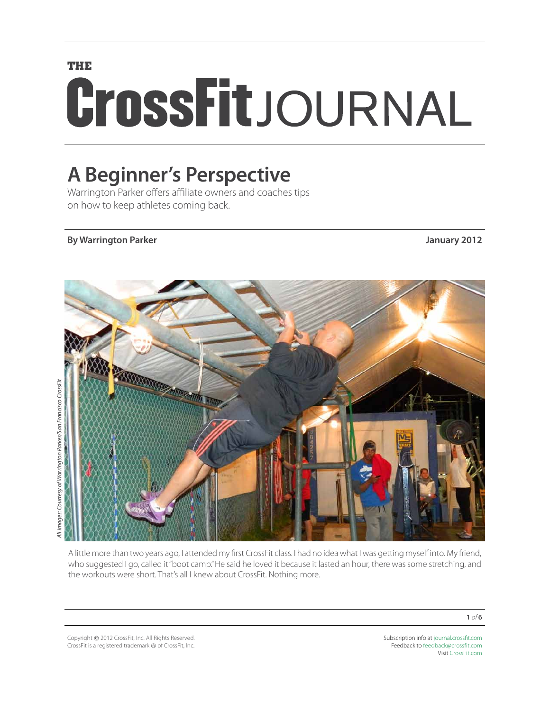# **THE** CrossFitJOURNAL

# **A Beginner's Perspective**

Warrington Parker offers affiliate owners and coaches tips on how to keep athletes coming back.

#### **By Warrington Parker January 2012**



All images: Courtesy of Warrington Parker/San Francisco CrossFit *All images: Courtesy of Warrington Parker/San Francisco CrossFit*

> A little more than two years ago, I attended my first CrossFit class. I had no idea what I was getting myself into. My friend, who suggested I go, called it "boot camp." He said he loved it because it lasted an hour, there was some stretching, and the workouts were short. That's all I knew about CrossFit. Nothing more.

Copyright © 2012 CrossFit, Inc. All Rights Reserved. CrossFit is a registered trademark ® of CrossFit, Inc. Subscription info at [journal.crossfit.com](http://journal.crossfit.com) Feedback to [feedback@crossfit.com](mailto:feedback@crossfit.com) Visit [CrossFit.com](http://www.crossfit.com)

**1** *of* **6**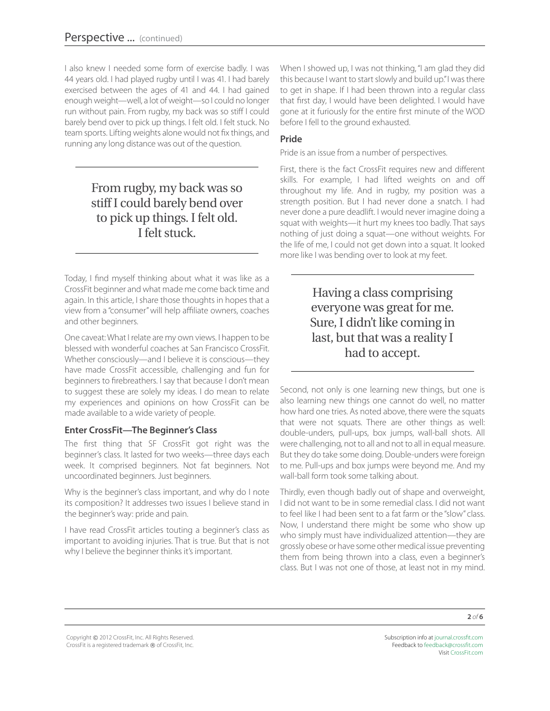I also knew I needed some form of exercise badly. I was 44 years old. I had played rugby until I was 41. I had barely exercised between the ages of 41 and 44. I had gained enough weight—well, a lot of weight—so I could no longer run without pain. From rugby, my back was so stiff I could barely bend over to pick up things. I felt old. I felt stuck. No team sports. Lifting weights alone would not fix things, and running any long distance was out of the question.

# From rugby, my back was so stiff I could barely bend over to pick up things. I felt old. I felt stuck.

Today, I find myself thinking about what it was like as a CrossFit beginner and what made me come back time and again. In this article, I share those thoughts in hopes that a view from a "consumer" will help affiliate owners, coaches and other beginners.

One caveat: What I relate are my own views. I happen to be blessed with wonderful coaches at San Francisco CrossFit. Whether consciously—and I believe it is conscious—they have made CrossFit accessible, challenging and fun for beginners to firebreathers. I say that because I don't mean to suggest these are solely my ideas. I do mean to relate my experiences and opinions on how CrossFit can be made available to a wide variety of people.

#### **Enter CrossFit—The Beginner's Class**

The first thing that SF CrossFit got right was the beginner's class. It lasted for two weeks—three days each week. It comprised beginners. Not fat beginners. Not uncoordinated beginners. Just beginners.

Why is the beginner's class important, and why do I note its composition? It addresses two issues I believe stand in the beginner's way: pride and pain.

I have read CrossFit articles touting a beginner's class as important to avoiding injuries. That is true. But that is not why I believe the beginner thinks it's important.

When I showed up, I was not thinking, "I am glad they did this because I want to start slowly and build up." I was there to get in shape. If I had been thrown into a regular class that first day, I would have been delighted. I would have gone at it furiously for the entire first minute of the WOD before I fell to the ground exhausted.

#### **Pride**

Pride is an issue from a number of perspectives.

First, there is the fact CrossFit requires new and different skills. For example, I had lifted weights on and off throughout my life. And in rugby, my position was a strength position. But I had never done a snatch. I had never done a pure deadlift. I would never imagine doing a squat with weights—it hurt my knees too badly. That says nothing of just doing a squat—one without weights. For the life of me, I could not get down into a squat. It looked more like I was bending over to look at my feet.

## Having a class comprising everyone was great for me. Sure, I didn't like coming in last, but that was a reality I had to accept.

Second, not only is one learning new things, but one is also learning new things one cannot do well, no matter how hard one tries. As noted above, there were the squats that were not squats. There are other things as well: double-unders, pull-ups, box jumps, wall-ball shots. All were challenging, not to all and not to all in equal measure. But they do take some doing. Double-unders were foreign to me. Pull-ups and box jumps were beyond me. And my wall-ball form took some talking about.

Thirdly, even though badly out of shape and overweight, I did not want to be in some remedial class. I did not want to feel like I had been sent to a fat farm or the "slow" class. Now, I understand there might be some who show up who simply must have individualized attention—they are grossly obese or have some other medical issue preventing them from being thrown into a class, even a beginner's class. But I was not one of those, at least not in my mind.

Copyright © 2012 CrossFit, Inc. All Rights Reserved. CrossFit is a registered trademark ® of CrossFit, Inc.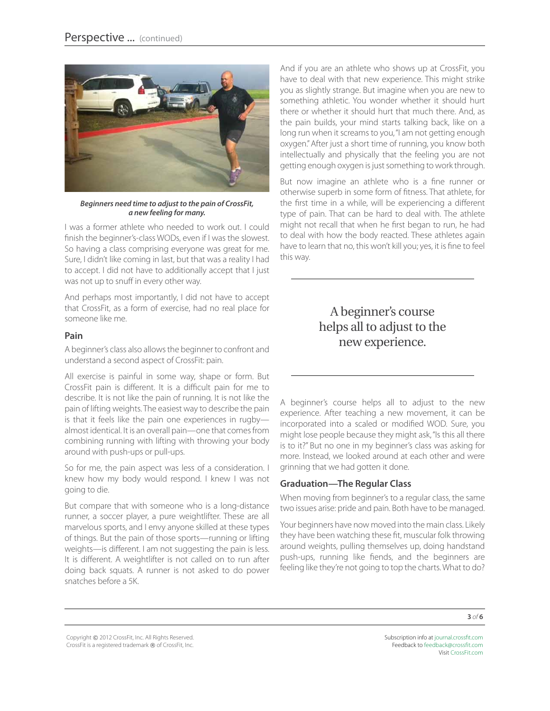

*Beginners need time to adjust to the pain of CrossFit, a new feeling for many.*

I was a former athlete who needed to work out. I could finish the beginner's-class WODs, even if I was the slowest. So having a class comprising everyone was great for me. Sure, I didn't like coming in last, but that was a reality I had to accept. I did not have to additionally accept that I just was not up to snuff in every other way.

And perhaps most importantly, I did not have to accept that CrossFit, as a form of exercise, had no real place for someone like me.

#### **Pain**

A beginner's class also allows the beginner to confront and understand a second aspect of CrossFit: pain.

All exercise is painful in some way, shape or form. But CrossFit pain is different. It is a difficult pain for me to describe. It is not like the pain of running. It is not like the pain of lifting weights. The easiest way to describe the pain is that it feels like the pain one experiences in rugby almost identical. It is an overall pain—one that comes from combining running with lifting with throwing your body around with push-ups or pull-ups.

So for me, the pain aspect was less of a consideration. I knew how my body would respond. I knew I was not going to die.

But compare that with someone who is a long-distance runner, a soccer player, a pure weightlifter. These are all marvelous sports, and I envy anyone skilled at these types of things. But the pain of those sports—running or lifting weights—is different. I am not suggesting the pain is less. It is different. A weightlifter is not called on to run after doing back squats. A runner is not asked to do power snatches before a 5K.

And if you are an athlete who shows up at CrossFit, you have to deal with that new experience. This might strike you as slightly strange. But imagine when you are new to something athletic. You wonder whether it should hurt there or whether it should hurt that much there. And, as the pain builds, your mind starts talking back, like on a long run when it screams to you, "I am not getting enough oxygen." After just a short time of running, you know both intellectually and physically that the feeling you are not getting enough oxygen is just something to work through.

But now imagine an athlete who is a fine runner or otherwise superb in some form of fitness. That athlete, for the first time in a while, will be experiencing a different type of pain. That can be hard to deal with. The athlete might not recall that when he first began to run, he had to deal with how the body reacted. These athletes again have to learn that no, this won't kill you; yes, it is fine to feel this way.

# A beginner's course helps all to adjust to the new experience.

A beginner's course helps all to adjust to the new experience. After teaching a new movement, it can be incorporated into a scaled or modified WOD. Sure, you might lose people because they might ask, "Is this all there is to it?" But no one in my beginner's class was asking for more. Instead, we looked around at each other and were grinning that we had gotten it done.

#### **Graduation—The Regular Class**

When moving from beginner's to a regular class, the same two issues arise: pride and pain. Both have to be managed.

Your beginners have now moved into the main class. Likely they have been watching these fit, muscular folk throwing around weights, pulling themselves up, doing handstand push-ups, running like fiends, and the beginners are feeling like they're not going to top the charts. What to do?

**3** *of* **6**

Copyright © 2012 CrossFit, Inc. All Rights Reserved. CrossFit is a registered trademark ® of CrossFit, Inc.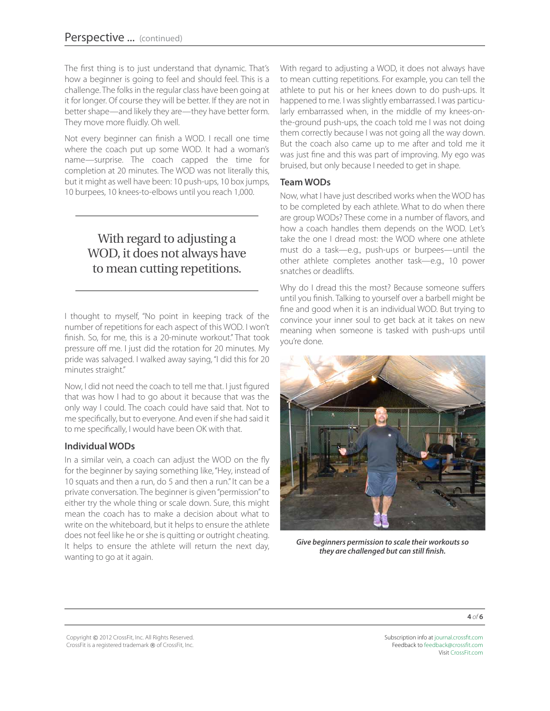The first thing is to just understand that dynamic. That's how a beginner is going to feel and should feel. This is a challenge. The folks in the regular class have been going at it for longer. Of course they will be better. If they are not in better shape—and likely they are—they have better form. They move more fluidly. Oh well.

Not every beginner can finish a WOD. I recall one time where the coach put up some WOD. It had a woman's name—surprise. The coach capped the time for completion at 20 minutes. The WOD was not literally this, but it might as well have been: 10 push-ups, 10 box jumps, 10 burpees, 10 knees-to-elbows until you reach 1,000.

# With regard to adjusting a WOD, it does not always have to mean cutting repetitions.

I thought to myself, "No point in keeping track of the number of repetitions for each aspect of this WOD. I won't finish. So, for me, this is a 20-minute workout." That took pressure off me. I just did the rotation for 20 minutes. My pride was salvaged. I walked away saying, "I did this for 20 minutes straight."

Now, I did not need the coach to tell me that. I just figured that was how I had to go about it because that was the only way I could. The coach could have said that. Not to me specifically, but to everyone. And even if she had said it to me specifically, I would have been OK with that.

#### **Individual WODs**

In a similar vein, a coach can adjust the WOD on the fly for the beginner by saying something like, "Hey, instead of 10 squats and then a run, do 5 and then a run." It can be a private conversation. The beginner is given "permission" to either try the whole thing or scale down. Sure, this might mean the coach has to make a decision about what to write on the whiteboard, but it helps to ensure the athlete does not feel like he or she is quitting or outright cheating. It helps to ensure the athlete will return the next day, wanting to go at it again.

With regard to adjusting a WOD, it does not always have to mean cutting repetitions. For example, you can tell the athlete to put his or her knees down to do push-ups. It happened to me. I was slightly embarrassed. I was particularly embarrassed when, in the middle of my knees-onthe-ground push-ups, the coach told me I was not doing them correctly because I was not going all the way down. But the coach also came up to me after and told me it was just fine and this was part of improving. My ego was bruised, but only because I needed to get in shape.

#### **Team WODs**

Now, what I have just described works when the WOD has to be completed by each athlete. What to do when there are group WODs? These come in a number of flavors, and how a coach handles them depends on the WOD. Let's take the one I dread most: the WOD where one athlete must do a task—e.g., push-ups or burpees—until the other athlete completes another task—e.g., 10 power snatches or deadlifts.

Why do I dread this the most? Because someone suffers until you finish. Talking to yourself over a barbell might be fine and good when it is an individual WOD. But trying to convince your inner soul to get back at it takes on new meaning when someone is tasked with push-ups until you're done.



*Give beginners permission to scale their workouts so they are challenged but can still finish.*

Copyright © 2012 CrossFit, Inc. All Rights Reserved. CrossFit is a registered trademark ® of CrossFit, Inc.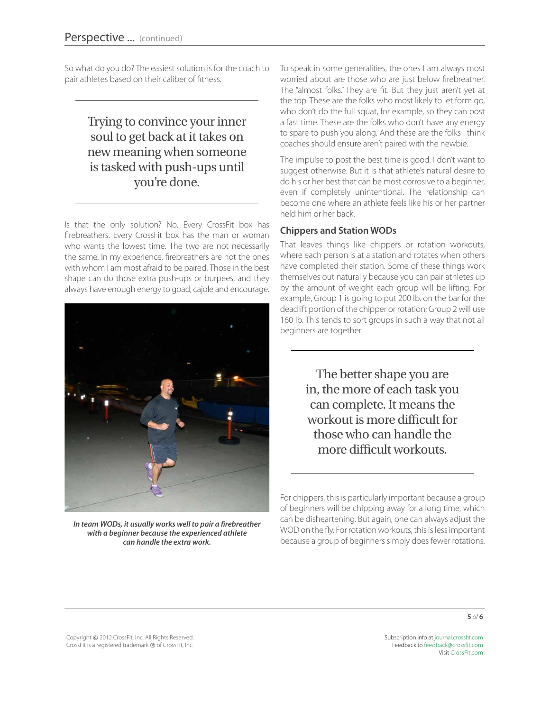So what do you do? The easiest solution is for the coach to pair athletes based on their caliber of fitness.

# Trying to convince your inner soul to get back at it takes on new meaning when someone is tasked with push-ups until you're done.

Is that the only solution? No. Every CrossFit box has firebreathers. Every CrossFit box has the man or woman who wants the lowest time. The two are not necessarily the same. In my experience, firebreathers are not the ones with whom I am most afraid to be paired. Those in the best shape can do those extra push-ups or burpees, and they always have enough energy to goad, cajole and encourage.



*In team WODs, it usually works well to pair a firebreather with a beginner because the experienced athlete can handle the extra work.*

To speak in some generalities, the ones I am always most worried about are those who are just below firebreather. The "almost folks." They are fit. But they just aren't yet at the top. These are the folks who most likely to let form go, who don't do the full squat, for example, so they can post a fast time. These are the folks who don't have any energy to spare to push you along. And these are the folks I think coaches should ensure aren't paired with the newbie.

The impulse to post the best time is good. I don't want to suggest otherwise. But it is that athlete's natural desire to do his or her best that can be most corrosive to a beginner, even if completely unintentional. The relationship can become one where an athlete feels like his or her partner held him or her back.

#### **Chippers and Station WODs**

That leaves things like chippers or rotation workouts, where each person is at a station and rotates when others have completed their station. Some of these things work themselves out naturally because you can pair athletes up by the amount of weight each group will be lifting. For example, Group 1 is going to put 200 lb. on the bar for the deadlift portion of the chipper or rotation; Group 2 will use 160 lb. This tends to sort groups in such a way that not all beginners are together.

> The better shape you are in, the more of each task you can complete. It means the workout is more difficult for those who can handle the more difficult workouts.

For chippers, this is particularly important because a group of beginners will be chipping away for a long time, which can be disheartening. But again, one can always adjust the WOD on the fly. For rotation workouts, this is less important because a group of beginners simply does fewer rotations.

**5** *of* **6**

Copyright © 2012 CrossFit, Inc. All Rights Reserved. CrossFit is a registered trademark ® of CrossFit, Inc.